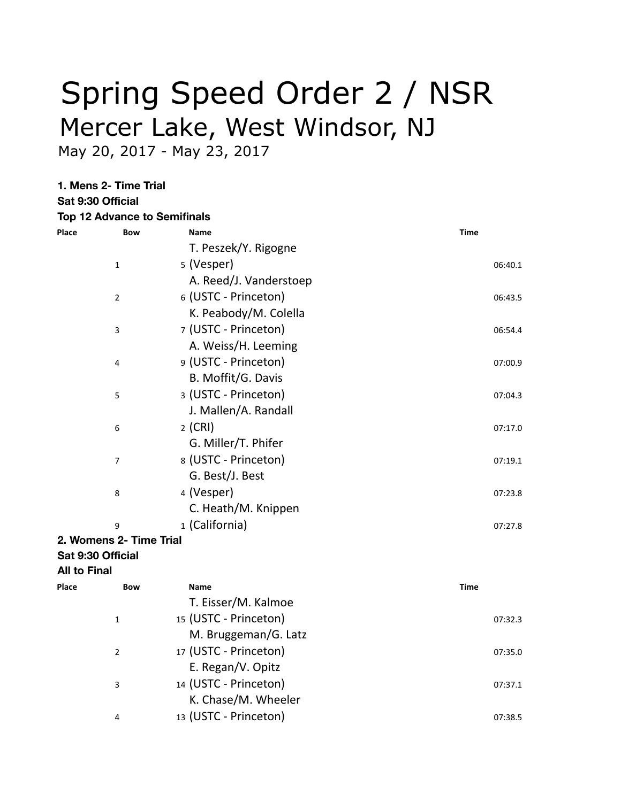## Spring Speed Order 2 / NSR Mercer Lake, West Windsor, NJ

May 20, 2017 - May 23, 2017

**1. Mens 2- Time Trial**

**Sat 9:30 Official Top 12 Advance to Semifinals**

| Place               | <b>Bow</b>              | <b>Name</b>            | <b>Time</b> |
|---------------------|-------------------------|------------------------|-------------|
|                     |                         | T. Peszek/Y. Rigogne   |             |
|                     | $\mathbf{1}$            | 5 (Vesper)             | 06:40.1     |
|                     |                         | A. Reed/J. Vanderstoep |             |
|                     | $\overline{2}$          | 6 (USTC - Princeton)   | 06:43.5     |
|                     |                         | K. Peabody/M. Colella  |             |
|                     | 3                       | 7 (USTC - Princeton)   | 06:54.4     |
|                     |                         | A. Weiss/H. Leeming    |             |
|                     | 4                       | 9 (USTC - Princeton)   | 07:00.9     |
|                     |                         | B. Moffit/G. Davis     |             |
|                     | 5                       | 3 (USTC - Princeton)   | 07:04.3     |
|                     |                         | J. Mallen/A. Randall   |             |
|                     | 6                       | $2$ (CRI)              | 07:17.0     |
|                     |                         | G. Miller/T. Phifer    |             |
|                     | $\overline{7}$          | 8 (USTC - Princeton)   | 07:19.1     |
|                     |                         | G. Best/J. Best        |             |
|                     | 8                       | 4 (Vesper)             | 07:23.8     |
|                     |                         | C. Heath/M. Knippen    |             |
|                     | 9                       | 1 (California)         | 07:27.8     |
|                     | 2. Womens 2- Time Trial |                        |             |
|                     | Sat 9:30 Official       |                        |             |
| <b>All to Final</b> |                         |                        |             |
| Place               | <b>Bow</b>              | Name                   | <b>Time</b> |
|                     |                         | T. Eisser/M. Kalmoe    |             |
|                     | $\mathbf{1}$            | 15 (USTC - Princeton)  | 07:32.3     |
|                     |                         | M. Bruggeman/G. Latz   |             |
|                     | $\overline{2}$          | 17 (USTC - Princeton)  | 07:35.0     |
|                     |                         | E. Regan/V. Opitz      |             |
|                     | 3                       | 14 (USTC - Princeton)  | 07:37.1     |
|                     |                         | K. Chase/M. Wheeler    |             |
|                     | 4                       | 13 (USTC - Princeton)  | 07:38.5     |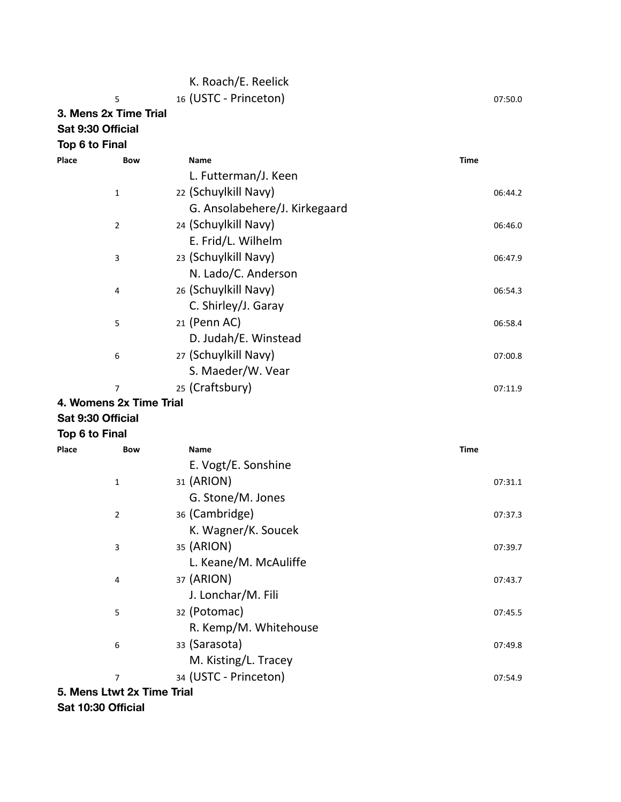|                       |                            | K. Roach/E. Reelick           |             |
|-----------------------|----------------------------|-------------------------------|-------------|
|                       | 5                          | 16 (USTC - Princeton)         | 07:50.0     |
| 3. Mens 2x Time Trial |                            |                               |             |
| Sat 9:30 Official     |                            |                               |             |
| Top 6 to Final        |                            |                               |             |
| Place                 | <b>Bow</b>                 | Name                          | <b>Time</b> |
|                       |                            | L. Futterman/J. Keen          |             |
|                       | $\mathbf{1}$               | 22 (Schuylkill Navy)          | 06:44.2     |
|                       |                            | G. Ansolabehere/J. Kirkegaard |             |
|                       | 2                          | 24 (Schuylkill Navy)          | 06:46.0     |
|                       |                            | E. Frid/L. Wilhelm            |             |
|                       | 3                          | 23 (Schuylkill Navy)          | 06:47.9     |
|                       |                            | N. Lado/C. Anderson           |             |
|                       | 4                          | 26 (Schuylkill Navy)          | 06:54.3     |
|                       |                            | C. Shirley/J. Garay           |             |
|                       | 5                          | 21 (Penn AC)                  | 06:58.4     |
|                       |                            | D. Judah/E. Winstead          |             |
|                       | 6                          | 27 (Schuylkill Navy)          | 07:00.8     |
|                       |                            | S. Maeder/W. Vear             |             |
|                       | 7                          | 25 (Craftsbury)               | 07:11.9     |
|                       | 4. Womens 2x Time Trial    |                               |             |
| Sat 9:30 Official     |                            |                               |             |
| Top 6 to Final        |                            |                               |             |
| Place                 | <b>Bow</b>                 | Name                          | <b>Time</b> |
|                       |                            | E. Vogt/E. Sonshine           |             |
|                       | 1                          | 31 (ARION)                    | 07:31.1     |
|                       |                            | G. Stone/M. Jones             |             |
|                       | 2                          | 36 (Cambridge)                | 07:37.3     |
|                       |                            | K. Wagner/K. Soucek           |             |
|                       | 3                          | 35 (ARION)                    | 07:39.7     |
|                       |                            | L. Keane/M. McAuliffe         |             |
|                       | 4                          | 37 (ARION)                    | 07:43.7     |
|                       |                            | J. Lonchar/M. Fili            |             |
|                       | 5                          | 32 (Potomac)                  | 07:45.5     |
|                       |                            | R. Kemp/M. Whitehouse         |             |
|                       | 6                          | 33 (Sarasota)                 | 07:49.8     |
|                       |                            | M. Kisting/L. Tracey          |             |
|                       | $\overline{7}$             | 34 (USTC - Princeton)         | 07:54.9     |
|                       | 5. Mens Ltwt 2x Time Trial |                               |             |

**Sat 10:30 Official**